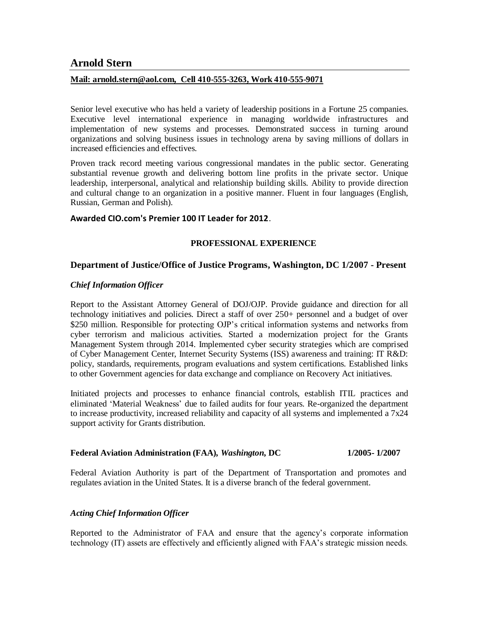# **Arnold Stern**

#### **Mail: arnold.stern@aol.com, Cell 410-555-3263, Work 410-555-9071**

Senior level executive who has held a variety of leadership positions in a Fortune 25 companies. Executive level international experience in managing worldwide infrastructures and implementation of new systems and processes. Demonstrated success in turning around organizations and solving business issues in technology arena by saving millions of dollars in increased efficiencies and effectives.

Proven track record meeting various congressional mandates in the public sector. Generating substantial revenue growth and delivering bottom line profits in the private sector. Unique leadership, interpersonal, analytical and relationship building skills. Ability to provide direction and cultural change to an organization in a positive manner. Fluent in four languages (English, Russian, German and Polish).

#### **Awarded CIO.com's Premier 100 IT Leader for 2012**.

# **PROFESSIONAL EXPERIENCE**

# **Department of Justice/Office of Justice Programs, Washington, DC 1/2007 - Present**

#### *Chief Information Officer*

Report to the Assistant Attorney General of DOJ/OJP. Provide guidance and direction for all technology initiatives and policies. Direct a staff of over 250+ personnel and a budget of over \$250 million. Responsible for protecting OJP's critical information systems and networks from cyber terrorism and malicious activities. Started a modernization project for the Grants Management System through 2014. Implemented cyber security strategies which are comprised of Cyber Management Center, Internet Security Systems (ISS) awareness and training: IT R&D: policy, standards, requirements, program evaluations and system certifications. Established links to other Government agencies for data exchange and compliance on Recovery Act initiatives.

Initiated projects and processes to enhance financial controls, establish ITIL practices and eliminated 'Material Weakness' due to failed audits for four years. Re-organized the department to increase productivity, increased reliability and capacity of all systems and implemented a  $7x24$ support activity for Grants distribution.

#### **Federal Aviation Administration (FAA)***, Washington***, DC 1/2005- 1/2007**

Federal Aviation Authority is part of the Department of Transportation and promotes and regulates aviation in the United States. It is a diverse branch of the federal government.

# *Acting Chief Information Officer*

Reported to the Administrator of FAA and ensure that the agency's corporate information technology (IT) assets are effectively and efficiently aligned with FAA's strategic mission needs.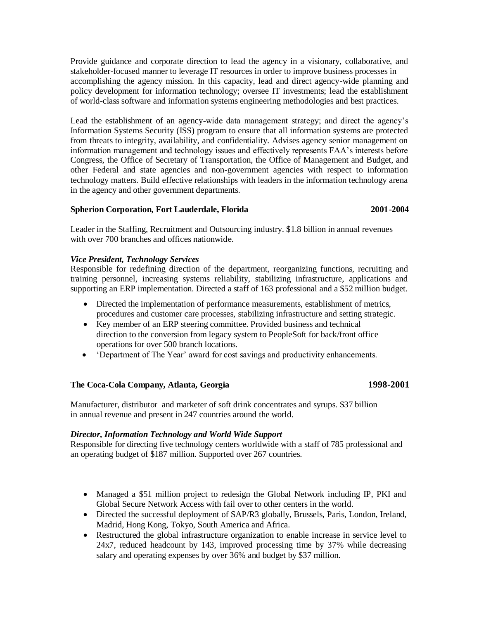Provide guidance and corporate direction to lead the agency in a visionary, collaborative, and stakeholder-focused manner to leverage IT resources in order to improve business processes in accomplishing the agency mission. In this capacity, lead and direct agency-wide planning and policy development for information technology; oversee IT investments; lead the establishment of world-class software and information systems engineering methodologies and best practices.

Lead the establishment of an agency-wide data management strategy; and direct the agency's Information Systems Security (ISS) program to ensure that all information systems are protected from threats to integrity, availability, and confidentiality. Advises agency senior management on information management and technology issues and effectively represents FAA's interests before Congress, the Office of Secretary of Transportation, the Office of Management and Budget, and other Federal and state agencies and non-government agencies with respect to information technology matters. Build effective relationships with leaders in the information technology arena in the agency and other government departments.

# **Spherion Corporation, Fort Lauderdale, Florida 2001-2004**

Leader in the Staffing, Recruitment and Outsourcing industry. \$1.8 billion in annual revenues with over 700 branches and offices nationwide.

# *Vice President, Technology Services*

Responsible for redefining direction of the department, reorganizing functions, recruiting and training personnel, increasing systems reliability, stabilizing infrastructure, applications and supporting an ERP implementation. Directed a staff of 163 professional and a \$52 million budget.

- Directed the implementation of performance measurements, establishment of metrics, procedures and customer care processes, stabilizing infrastructure and setting strategic.
- Key member of an ERP steering committee. Provided business and technical direction to the conversion from legacy system to PeopleSoft for back/front office operations for over 500 branch locations.
- 'Department of The Year' award for cost savings and productivity enhancements.

# **The Coca-Cola Company, Atlanta, Georgia 1998-2001**

Manufacturer, distributor and marketer of soft drink concentrates and syrups. \$37 billion in annual revenue and present in 247 countries around the world.

# *Director, Information Technology and World Wide Support*

Responsible for directing five technology centers worldwide with a staff of 785 professional and an operating budget of \$187 million. Supported over 267 countries.

- Managed a \$51 million project to redesign the Global Network including IP, PKI and Global Secure Network Access with fail over to other centers in the world.
- Directed the successful deployment of SAP/R3 globally, Brussels, Paris, London, Ireland, Madrid, Hong Kong, Tokyo, South America and Africa.
- Restructured the global infrastructure organization to enable increase in service level to 24x7, reduced headcount by 143, improved processing time by 37% while decreasing salary and operating expenses by over 36% and budget by \$37 million.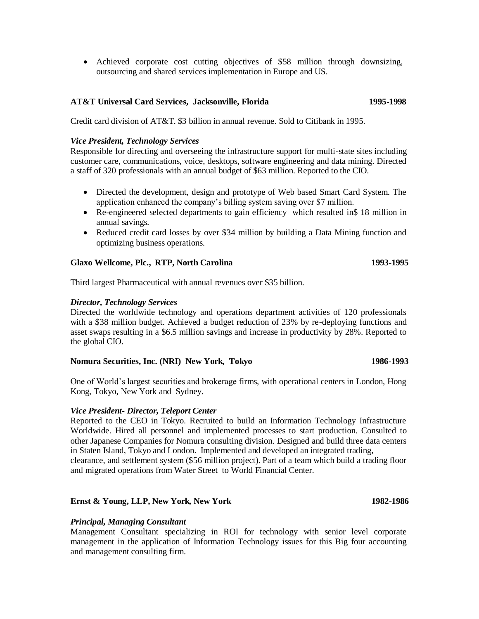Achieved corporate cost cutting objectives of \$58 million through downsizing, outsourcing and shared services implementation in Europe and US.

#### **AT&T Universal Card Services, Jacksonville, Florida 1995-1998**

Credit card division of AT&T. \$3 billion in annual revenue. Sold to Citibank in 1995.

#### *Vice President, Technology Services*

Responsible for directing and overseeing the infrastructure support for multi-state sites including customer care, communications, voice, desktops, software engineering and data mining. Directed a staff of 320 professionals with an annual budget of \$63 million. Reported to the CIO.

- Directed the development, design and prototype of Web based Smart Card System. The application enhanced the company's billing system saving over \$7 million.
- Re-engineered selected departments to gain efficiency which resulted in\$ 18 million in annual savings.
- Reduced credit card losses by over \$34 million by building a Data Mining function and optimizing business operations.

#### **Glaxo Wellcome, Plc., RTP, North Carolina 1993-1995**

Third largest Pharmaceutical with annual revenues over \$35 billion.

#### *Director, Technology Services*

Directed the worldwide technology and operations department activities of 120 professionals with a \$38 million budget. Achieved a budget reduction of 23% by re-deploying functions and asset swaps resulting in a \$6.5 million savings and increase in productivity by 28%. Reported to the global CIO.

# Nomura Securities, Inc. (NRI) New York, Tokyo 1986-1993

One of World's largest securities and brokerage firms, with operational centers in London, Hong Kong, Tokyo, New York and Sydney.

#### *Vice President- Director, Teleport Center*

Reported to the CEO in Tokyo. Recruited to build an Information Technology Infrastructure Worldwide. Hired all personnel and implemented processes to start production. Consulted to other Japanese Companies for Nomura consulting division. Designed and build three data centers in Staten Island, Tokyo and London. Implemented and developed an integrated trading, clearance, and settlement system (\$56 million project). Part of a team which build a trading floor and migrated operations from Water Street to World Financial Center.

#### **Ernst & Young, LLP, New York, New York 1982-1986**

# *Principal, Managing Consultant*

Management Consultant specializing in ROI for technology with senior level corporate management in the application of Information Technology issues for this Big four accounting and management consulting firm.